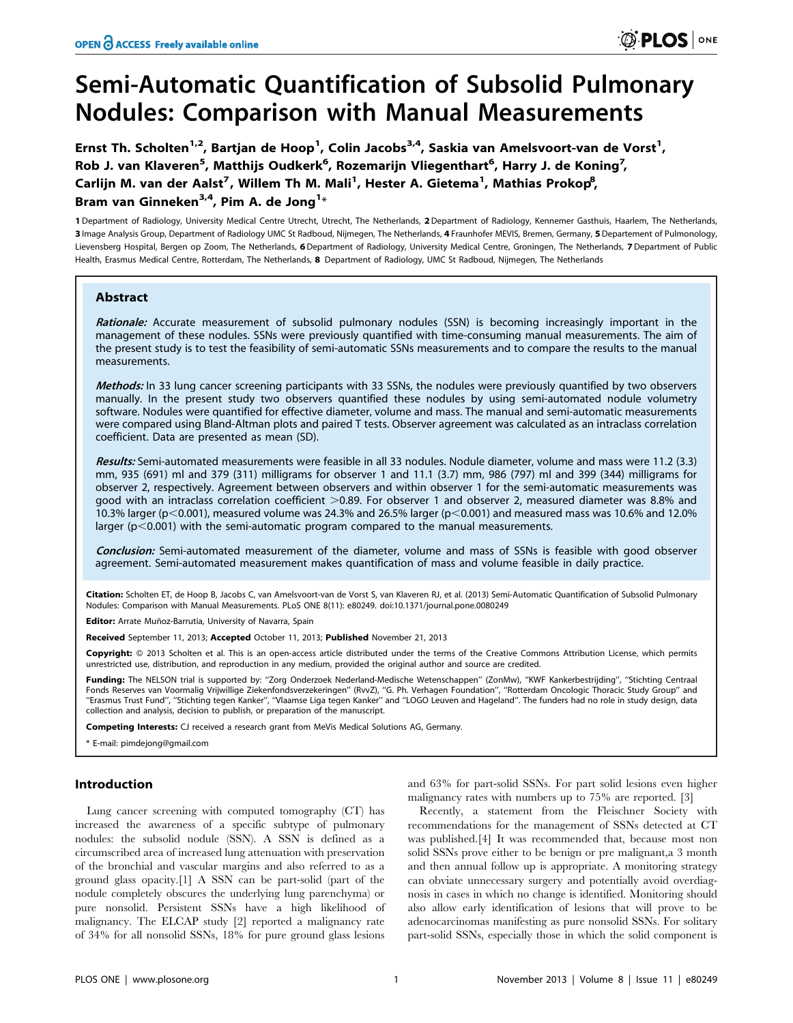# Semi-Automatic Quantification of Subsolid Pulmonary Nodules: Comparison with Manual Measurements

Ernst Th. Scholten<sup>1,2</sup>, Bartjan de Hoop<sup>1</sup>, Colin Jacobs<sup>3,4</sup>, Saskia van Amelsvoort-van de Vorst<sup>1</sup>, Rob J. van Klaveren<sup>5</sup>, Matthijs Oudkerk<sup>6</sup>, Rozemarijn Vliegenthart<sup>6</sup>, Harry J. de Koning<sup>7</sup>, Carlijn M. van der Aalst<sup>7</sup>, Willem Th M. Mali<sup>1</sup>, Hester A. Gietema<sup>1</sup>, Mathias Prokop<sup>8</sup>, Bram van Ginneken $^{3,4}$ , Pim A. de Jong $^{1*}$ 

1 Department of Radiology, University Medical Centre Utrecht, Utrecht, The Netherlands, 2Department of Radiology, Kennemer Gasthuis, Haarlem, The Netherlands, 3 Image Analysis Group, Department of Radiology UMC St Radboud, Nijmegen, The Netherlands, 4 Fraunhofer MEVIS, Bremen, Germany, 5Departement of Pulmonology, Lievensberg Hospital, Bergen op Zoom, The Netherlands, 6Department of Radiology, University Medical Centre, Groningen, The Netherlands, 7 Department of Public Health, Erasmus Medical Centre, Rotterdam, The Netherlands, 8 Department of Radiology, UMC St Radboud, Nijmegen, The Netherlands

# Abstract

Rationale: Accurate measurement of subsolid pulmonary nodules (SSN) is becoming increasingly important in the management of these nodules. SSNs were previously quantified with time-consuming manual measurements. The aim of the present study is to test the feasibility of semi-automatic SSNs measurements and to compare the results to the manual measurements.

Methods: In 33 lung cancer screening participants with 33 SSNs, the nodules were previously quantified by two observers manually. In the present study two observers quantified these nodules by using semi-automated nodule volumetry software. Nodules were quantified for effective diameter, volume and mass. The manual and semi-automatic measurements were compared using Bland-Altman plots and paired T tests. Observer agreement was calculated as an intraclass correlation coefficient. Data are presented as mean (SD).

Results: Semi-automated measurements were feasible in all 33 nodules. Nodule diameter, volume and mass were 11.2 (3.3) mm, 935 (691) ml and 379 (311) milligrams for observer 1 and 11.1 (3.7) mm, 986 (797) ml and 399 (344) milligrams for observer 2, respectively. Agreement between observers and within observer 1 for the semi-automatic measurements was good with an intraclass correlation coefficient >0.89. For observer 1 and observer 2, measured diameter was 8.8% and 10.3% larger (p $<$ 0.001), measured volume was 24.3% and 26.5% larger (p $<$ 0.001) and measured mass was 10.6% and 12.0% larger ( $p<0.001$ ) with the semi-automatic program compared to the manual measurements.

Conclusion: Semi-automated measurement of the diameter, volume and mass of SSNs is feasible with good observer agreement. Semi-automated measurement makes quantification of mass and volume feasible in daily practice.

Citation: Scholten ET, de Hoop B, Jacobs C, van Amelsvoort-van de Vorst S, van Klaveren RJ, et al. (2013) Semi-Automatic Quantification of Subsolid Pulmonary Nodules: Comparison with Manual Measurements. PLoS ONE 8(11): e80249. doi:10.1371/journal.pone.0080249

Editor: Arrate Muñoz-Barrutia, University of Navarra, Spain

Received September 11, 2013; Accepted October 11, 2013; Published November 21, 2013

Copyright: © 2013 Scholten et al. This is an open-access article distributed under the terms of the Creative Commons Attribution License, which permits unrestricted use, distribution, and reproduction in any medium, provided the original author and source are credited.

Funding: The NELSON trial is supported by: ''Zorg Onderzoek Nederland-Medische Wetenschappen'' (ZonMw), ''KWF Kankerbestrijding'', ''Stichting Centraal Fonds Reserves van Voormalig Vrijwillige Ziekenfondsverzekeringen'' (RvvZ), ''G. Ph. Verhagen Foundation'', ''Rotterdam Oncologic Thoracic Study Group'' and ''Erasmus Trust Fund'', ''Stichting tegen Kanker'', ''Vlaamse Liga tegen Kanker'' and ''LOGO Leuven and Hageland''. The funders had no role in study design, data collection and analysis, decision to publish, or preparation of the manuscript.

Competing Interests: CJ received a research grant from MeVis Medical Solutions AG, Germany.

\* E-mail: pimdejong@gmail.com

# Introduction

Lung cancer screening with computed tomography (CT) has increased the awareness of a specific subtype of pulmonary nodules: the subsolid nodule (SSN). A SSN is defined as a circumscribed area of increased lung attenuation with preservation of the bronchial and vascular margins and also referred to as a ground glass opacity.[1] A SSN can be part-solid (part of the nodule completely obscures the underlying lung parenchyma) or pure nonsolid. Persistent SSNs have a high likelihood of malignancy. The ELCAP study [2] reported a malignancy rate of 34% for all nonsolid SSNs, 18% for pure ground glass lesions

and 63% for part-solid SSNs. For part solid lesions even higher malignancy rates with numbers up to 75% are reported. [3]

Recently, a statement from the Fleischner Society with recommendations for the management of SSNs detected at CT was published.[4] It was recommended that, because most non solid SSNs prove either to be benign or pre malignant,a 3 month and then annual follow up is appropriate. A monitoring strategy can obviate unnecessary surgery and potentially avoid overdiagnosis in cases in which no change is identified. Monitoring should also allow early identification of lesions that will prove to be adenocarcinomas manifesting as pure nonsolid SSNs. For solitary part-solid SSNs, especially those in which the solid component is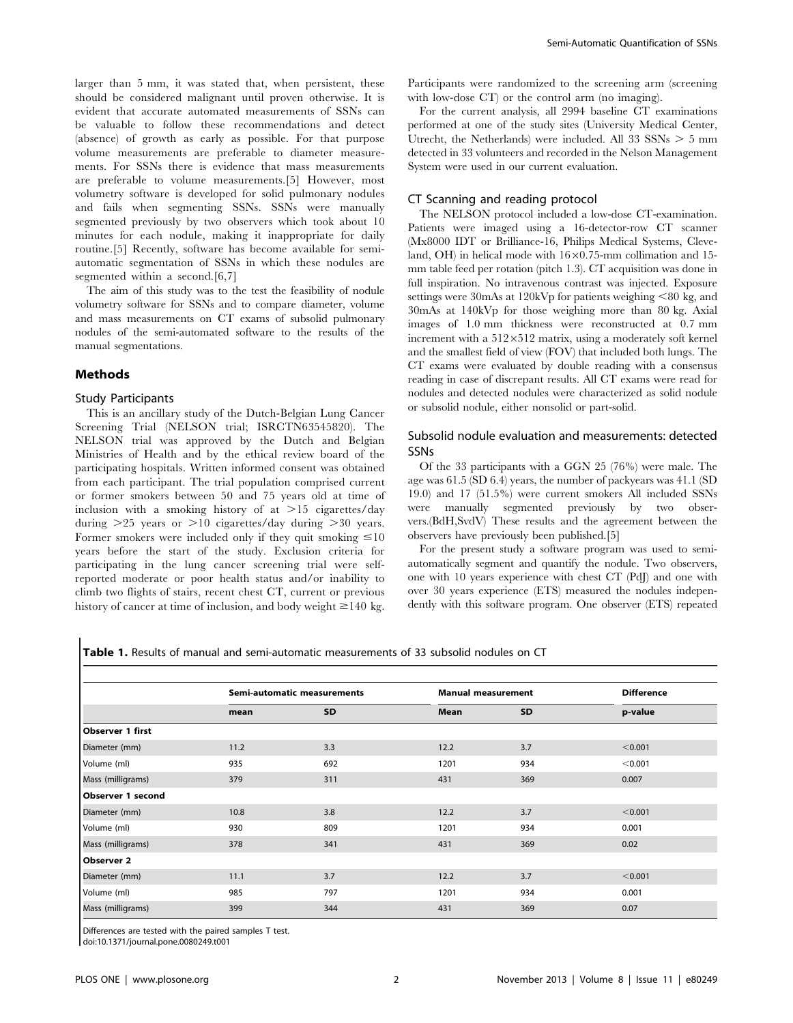larger than 5 mm, it was stated that, when persistent, these should be considered malignant until proven otherwise. It is evident that accurate automated measurements of SSNs can be valuable to follow these recommendations and detect (absence) of growth as early as possible. For that purpose volume measurements are preferable to diameter measurements. For SSNs there is evidence that mass measurements are preferable to volume measurements.[5] However, most volumetry software is developed for solid pulmonary nodules and fails when segmenting SSNs. SSNs were manually segmented previously by two observers which took about 10 minutes for each nodule, making it inappropriate for daily routine.[5] Recently, software has become available for semiautomatic segmentation of SSNs in which these nodules are segmented within a second.[6,7]

The aim of this study was to the test the feasibility of nodule volumetry software for SSNs and to compare diameter, volume and mass measurements on CT exams of subsolid pulmonary nodules of the semi-automated software to the results of the manual segmentations.

# Methods

#### Study Participants

This is an ancillary study of the Dutch-Belgian Lung Cancer Screening Trial (NELSON trial; ISRCTN63545820). The NELSON trial was approved by the Dutch and Belgian Ministries of Health and by the ethical review board of the participating hospitals. Written informed consent was obtained from each participant. The trial population comprised current or former smokers between 50 and 75 years old at time of inclusion with a smoking history of at  $>15$  cigarettes/day during  $>25$  years or  $>10$  cigarettes/day during  $>30$  years. Former smokers were included only if they quit smoking  $\leq 10$ years before the start of the study. Exclusion criteria for participating in the lung cancer screening trial were selfreported moderate or poor health status and/or inability to climb two flights of stairs, recent chest CT, current or previous history of cancer at time of inclusion, and body weight  $\geq$  140 kg.

Participants were randomized to the screening arm (screening with low-dose CT) or the control arm (no imaging).

For the current analysis, all 2994 baseline CT examinations performed at one of the study sites (University Medical Center, Utrecht, the Netherlands) were included. All  $33$  SSNs  $> 5$  mm detected in 33 volunteers and recorded in the Nelson Management System were used in our current evaluation.

#### CT Scanning and reading protocol

The NELSON protocol included a low-dose CT-examination. Patients were imaged using a 16-detector-row CT scanner (Mx8000 IDT or Brilliance-16, Philips Medical Systems, Cleveland, OH) in helical mode with  $16\times0.75$ -mm collimation and 15mm table feed per rotation (pitch 1.3). CT acquisition was done in full inspiration. No intravenous contrast was injected. Exposure settings were 30mAs at 120kVp for patients weighing  $<80$  kg, and 30mAs at 140kVp for those weighing more than 80 kg. Axial images of 1.0 mm thickness were reconstructed at 0.7 mm increment with a  $512\times512$  matrix, using a moderately soft kernel and the smallest field of view (FOV) that included both lungs. The CT exams were evaluated by double reading with a consensus reading in case of discrepant results. All CT exams were read for nodules and detected nodules were characterized as solid nodule or subsolid nodule, either nonsolid or part-solid.

# Subsolid nodule evaluation and measurements: detected SSNs

Of the 33 participants with a GGN 25 (76%) were male. The age was 61.5 (SD 6.4) years, the number of packyears was 41.1 (SD 19.0) and 17 (51.5%) were current smokers All included SSNs were manually segmented previously by two observers.(BdH,SvdV) These results and the agreement between the observers have previously been published.[5]

For the present study a software program was used to semiautomatically segment and quantify the nodule. Two observers, one with 10 years experience with chest CT (PdJ) and one with over 30 years experience (ETS) measured the nodules independently with this software program. One observer (ETS) repeated

Table 1. Results of manual and semi-automatic measurements of 33 subsolid nodules on CT

|                   | Semi-automatic measurements |           | <b>Manual measurement</b> |           | <b>Difference</b> |
|-------------------|-----------------------------|-----------|---------------------------|-----------|-------------------|
|                   | mean                        | <b>SD</b> | Mean                      | <b>SD</b> | p-value           |
| Observer 1 first  |                             |           |                           |           |                   |
| Diameter (mm)     | 11.2                        | 3.3       | 12.2                      | 3.7       | < 0.001           |
| Volume (ml)       | 935                         | 692       | 1201                      | 934       | < 0.001           |
| Mass (milligrams) | 379                         | 311       | 431                       | 369       | 0.007             |
| Observer 1 second |                             |           |                           |           |                   |
| Diameter (mm)     | 10.8                        | 3.8       | 12.2                      | 3.7       | < 0.001           |
| Volume (ml)       | 930                         | 809       | 1201                      | 934       | 0.001             |
| Mass (milligrams) | 378                         | 341       | 431                       | 369       | 0.02              |
| Observer 2        |                             |           |                           |           |                   |
| Diameter (mm)     | 11.1                        | 3.7       | 12.2                      | 3.7       | < 0.001           |
| Volume (ml)       | 985                         | 797       | 1201                      | 934       | 0.001             |
| Mass (milligrams) | 399                         | 344       | 431                       | 369       | 0.07              |

Differences are tested with the paired samples T test.

doi:10.1371/journal.pone.0080249.t001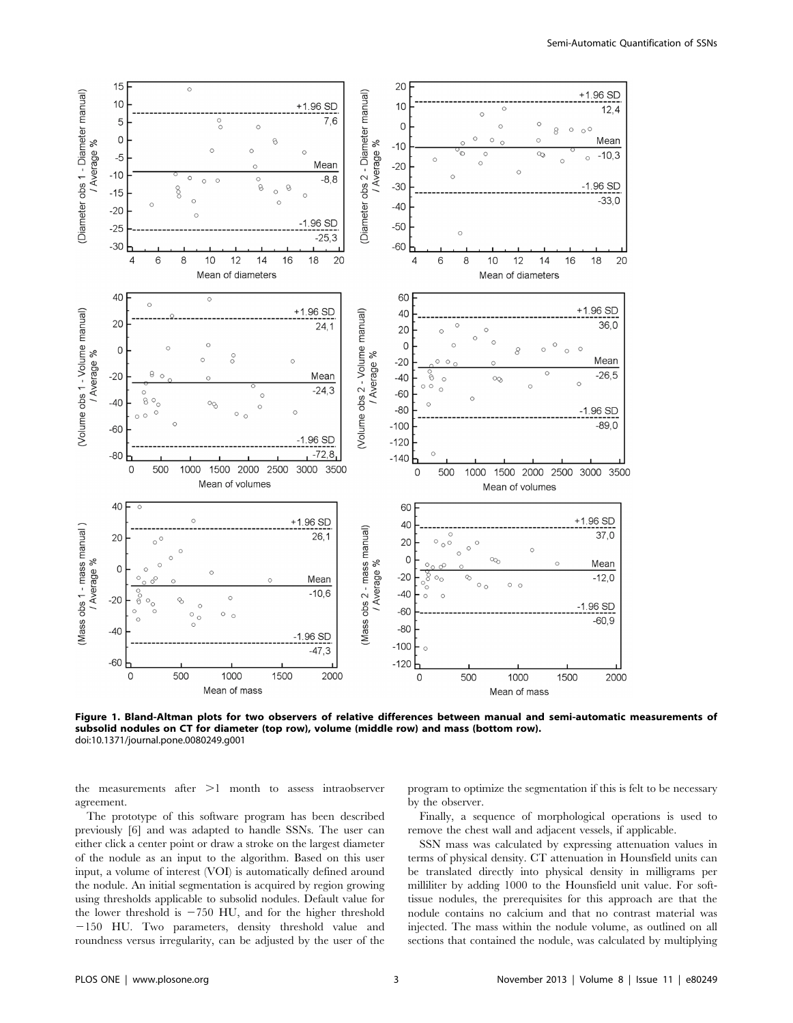

Figure 1. Bland-Altman plots for two observers of relative differences between manual and semi-automatic measurements of subsolid nodules on CT for diameter (top row), volume (middle row) and mass (bottom row). doi:10.1371/journal.pone.0080249.g001

the measurements after  $>1$  month to assess intraobserver agreement.

program to optimize the segmentation if this is felt to be necessary by the observer.

The prototype of this software program has been described previously [6] and was adapted to handle SSNs. The user can either click a center point or draw a stroke on the largest diameter of the nodule as an input to the algorithm. Based on this user input, a volume of interest (VOI) is automatically defined around the nodule. An initial segmentation is acquired by region growing using thresholds applicable to subsolid nodules. Default value for the lower threshold is  $-750$  HU, and for the higher threshold  $-150$  HU. Two parameters, density threshold value and roundness versus irregularity, can be adjusted by the user of the

Finally, a sequence of morphological operations is used to remove the chest wall and adjacent vessels, if applicable.

SSN mass was calculated by expressing attenuation values in terms of physical density. CT attenuation in Hounsfield units can be translated directly into physical density in milligrams per milliliter by adding 1000 to the Hounsfield unit value. For softtissue nodules, the prerequisites for this approach are that the nodule contains no calcium and that no contrast material was injected. The mass within the nodule volume, as outlined on all sections that contained the nodule, was calculated by multiplying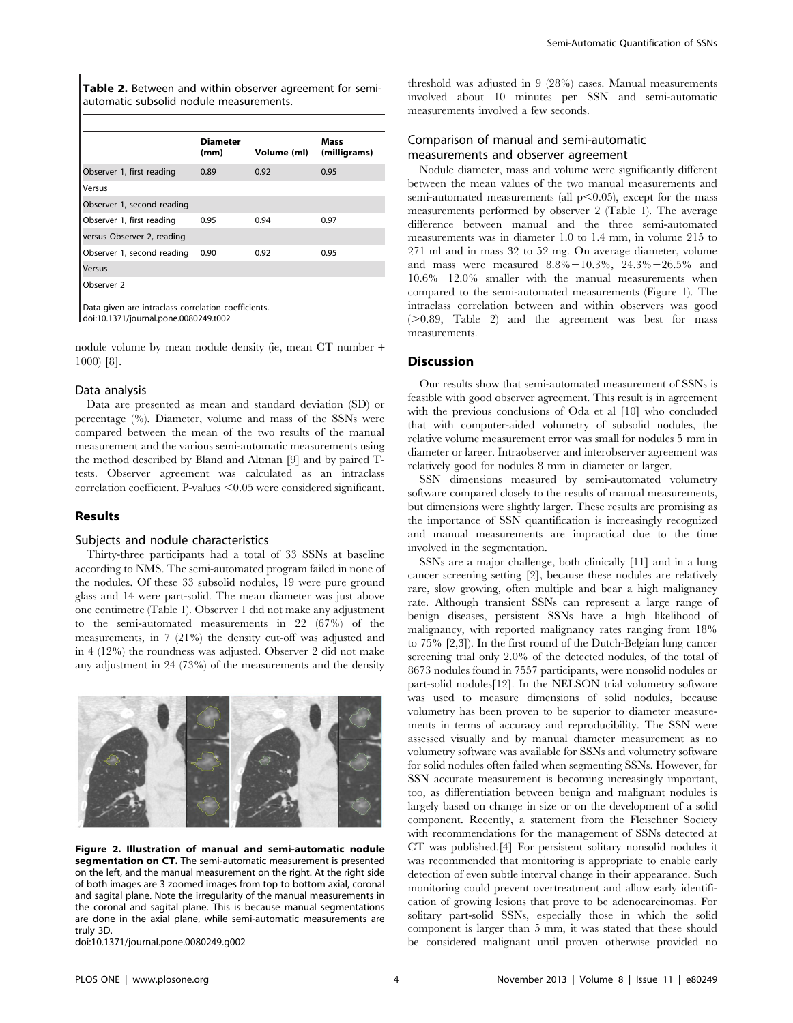Table 2. Between and within observer agreement for semiautomatic subsolid nodule measurements.

|                                                                              | <b>Diameter</b><br>(mm) | Volume (ml) | Mass<br>(milligrams) |  |  |  |  |
|------------------------------------------------------------------------------|-------------------------|-------------|----------------------|--|--|--|--|
| Observer 1, first reading                                                    | 0.89                    | 0.92        | 0.95                 |  |  |  |  |
| Versus                                                                       |                         |             |                      |  |  |  |  |
| Observer 1, second reading                                                   |                         |             |                      |  |  |  |  |
| Observer 1, first reading                                                    | 0.95                    | 0.94        | 0.97                 |  |  |  |  |
| versus Observer 2, reading                                                   |                         |             |                      |  |  |  |  |
| Observer 1, second reading                                                   | 0.90                    | 0.92        | 0.95                 |  |  |  |  |
| Versus                                                                       |                         |             |                      |  |  |  |  |
| Observer 2                                                                   |                         |             |                      |  |  |  |  |
| Data given are intraclass correlation coefficients.<br>$1.101271$ $1.101771$ |                         |             |                      |  |  |  |  |

doi:10.1371/journal.pone.0080249.t002

nodule volume by mean nodule density (ie, mean CT number + 1000) [8].

#### Data analysis

Data are presented as mean and standard deviation (SD) or percentage (%). Diameter, volume and mass of the SSNs were compared between the mean of the two results of the manual measurement and the various semi-automatic measurements using the method described by Bland and Altman [9] and by paired Ttests. Observer agreement was calculated as an intraclass  $correlation coefficient.$  P-values  $< 0.05$  were considered significant.

# Results

#### Subjects and nodule characteristics

Thirty-three participants had a total of 33 SSNs at baseline according to NMS. The semi-automated program failed in none of the nodules. Of these 33 subsolid nodules, 19 were pure ground glass and 14 were part-solid. The mean diameter was just above one centimetre (Table 1). Observer 1 did not make any adjustment to the semi-automated measurements in 22 (67%) of the measurements, in 7 (21%) the density cut-off was adjusted and in 4 (12%) the roundness was adjusted. Observer 2 did not make any adjustment in 24 (73%) of the measurements and the density



Figure 2. Illustration of manual and semi-automatic nodule segmentation on CT. The semi-automatic measurement is presented on the left, and the manual measurement on the right. At the right side of both images are 3 zoomed images from top to bottom axial, coronal and sagital plane. Note the irregularity of the manual measurements in the coronal and sagital plane. This is because manual segmentations are done in the axial plane, while semi-automatic measurements are truly 3D.

doi:10.1371/journal.pone.0080249.g002

threshold was adjusted in 9 (28%) cases. Manual measurements involved about 10 minutes per SSN and semi-automatic measurements involved a few seconds.

# Comparison of manual and semi-automatic measurements and observer agreement

Nodule diameter, mass and volume were significantly different between the mean values of the two manual measurements and semi-automated measurements (all  $p<0.05$ ), except for the mass measurements performed by observer 2 (Table 1). The average difference between manual and the three semi-automated measurements was in diameter 1.0 to 1.4 mm, in volume 215 to 271 ml and in mass 32 to 52 mg. On average diameter, volume and mass were measured  $8.8\% - 10.3\%$ ,  $24.3\% - 26.5\%$  and  $10.6\% - 12.0\%$  smaller with the manual measurements when compared to the semi-automated measurements (Figure 1). The intraclass correlation between and within observers was good  $(>0.89,$  Table 2) and the agreement was best for mass measurements.

## **Discussion**

Our results show that semi-automated measurement of SSNs is feasible with good observer agreement. This result is in agreement with the previous conclusions of Oda et al [10] who concluded that with computer-aided volumetry of subsolid nodules, the relative volume measurement error was small for nodules 5 mm in diameter or larger. Intraobserver and interobserver agreement was relatively good for nodules 8 mm in diameter or larger.

SSN dimensions measured by semi-automated volumetry software compared closely to the results of manual measurements, but dimensions were slightly larger. These results are promising as the importance of SSN quantification is increasingly recognized and manual measurements are impractical due to the time involved in the segmentation.

SSNs are a major challenge, both clinically [11] and in a lung cancer screening setting [2], because these nodules are relatively rare, slow growing, often multiple and bear a high malignancy rate. Although transient SSNs can represent a large range of benign diseases, persistent SSNs have a high likelihood of malignancy, with reported malignancy rates ranging from 18% to 75% [2,3]). In the first round of the Dutch-Belgian lung cancer screening trial only 2.0% of the detected nodules, of the total of 8673 nodules found in 7557 participants, were nonsolid nodules or part-solid nodules[12]. In the NELSON trial volumetry software was used to measure dimensions of solid nodules, because volumetry has been proven to be superior to diameter measurements in terms of accuracy and reproducibility. The SSN were assessed visually and by manual diameter measurement as no volumetry software was available for SSNs and volumetry software for solid nodules often failed when segmenting SSNs. However, for SSN accurate measurement is becoming increasingly important, too, as differentiation between benign and malignant nodules is largely based on change in size or on the development of a solid component. Recently, a statement from the Fleischner Society with recommendations for the management of SSNs detected at CT was published.[4] For persistent solitary nonsolid nodules it was recommended that monitoring is appropriate to enable early detection of even subtle interval change in their appearance. Such monitoring could prevent overtreatment and allow early identification of growing lesions that prove to be adenocarcinomas. For solitary part-solid SSNs, especially those in which the solid component is larger than 5 mm, it was stated that these should be considered malignant until proven otherwise provided no